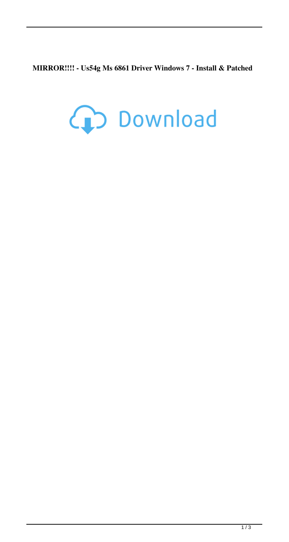**MIRROR!!!! - Us54g Ms 6861 Driver Windows 7 - Install & Patched**

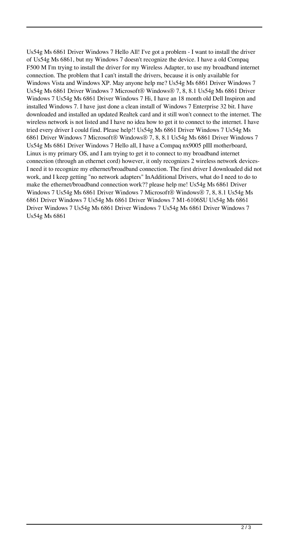Us54g Ms 6861 Driver Windows 7 Hello All! I've got a problem - I want to install the driver of Us54g Ms 6861, but my Windows 7 doesn't recognize the device. I have a old Compaq F500 M I'm trying to install the driver for my Wireless Adapter, to use my broadband internet connection. The problem that I can't install the drivers, because it is only available for Windows Vista and Windows XP. May anyone help me? Us54g Ms 6861 Driver Windows 7 Us54g Ms 6861 Driver Windows 7 Microsoft® Windows® 7, 8, 8.1 Us54g Ms 6861 Driver Windows 7 Us54g Ms 6861 Driver Windows 7 Hi, I have an 18 month old Dell Inspiron and installed Windows 7. I have just done a clean install of Windows 7 Enterprise 32 bit. I have downloaded and installed an updated Realtek card and it still won't connect to the internet. The wireless network is not listed and I have no idea how to get it to connect to the internet. I have tried every driver I could find. Please help!! Us54g Ms 6861 Driver Windows 7 Us54g Ms 6861 Driver Windows 7 Microsoft® Windows® 7, 8, 8.1 Us54g Ms 6861 Driver Windows 7 Us54g Ms 6861 Driver Windows 7 Hello all, I have a Compaq nx9005 pIII motherboard, Linux is my primary OS, and I am trying to get it to connect to my broadband internet connection (through an ethernet cord) however, it only recognizes 2 wireless network devices-I need it to recognize my ethernet/broadband connection. The first driver I downloaded did not work, and I keep getting "no network adapters" InAdditional Drivers, what do I need to do to make the ethernet/broadband connection work?? please help me! Us54g Ms 6861 Driver Windows 7 Us54g Ms 6861 Driver Windows 7 Microsoft® Windows® 7, 8, 8.1 Us54g Ms 6861 Driver Windows 7 Us54g Ms 6861 Driver Windows 7 M1-6106SU Us54g Ms 6861 Driver Windows 7 Us54g Ms 6861 Driver Windows 7 Us54g Ms 6861 Driver Windows 7 Us54g Ms 6861